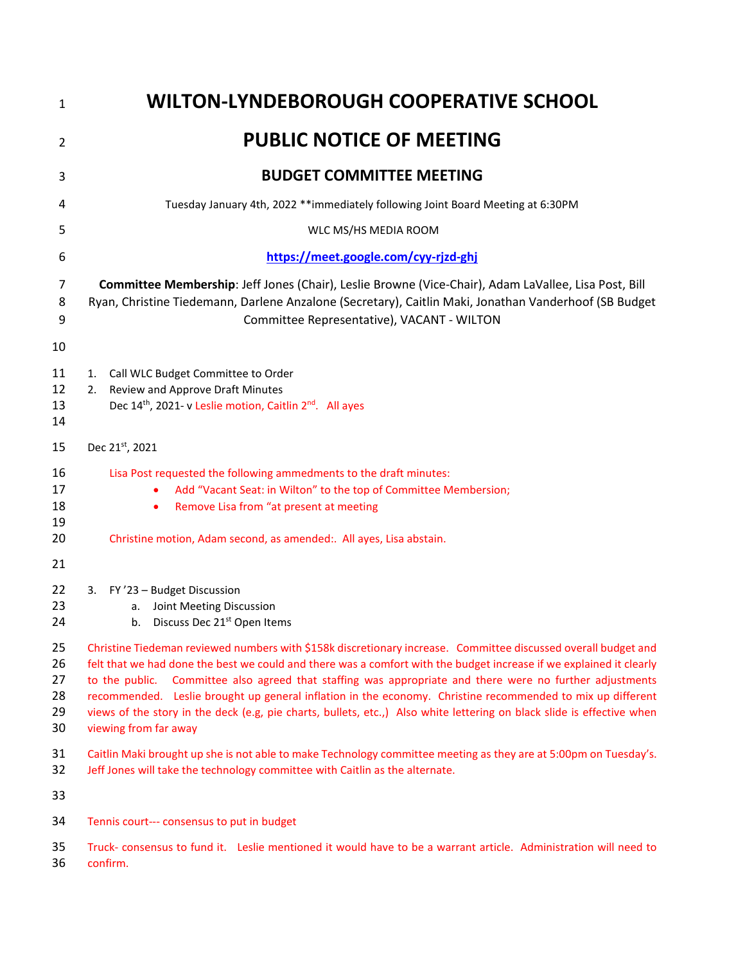| $\mathbf{1}$                     | <b>WILTON-LYNDEBOROUGH COOPERATIVE SCHOOL</b>                                                                                                                                                                                                                                                                                                                                                                                                                                                                                                                                                                         |
|----------------------------------|-----------------------------------------------------------------------------------------------------------------------------------------------------------------------------------------------------------------------------------------------------------------------------------------------------------------------------------------------------------------------------------------------------------------------------------------------------------------------------------------------------------------------------------------------------------------------------------------------------------------------|
| $\overline{2}$                   | <b>PUBLIC NOTICE OF MEETING</b>                                                                                                                                                                                                                                                                                                                                                                                                                                                                                                                                                                                       |
| 3                                | <b>BUDGET COMMITTEE MEETING</b>                                                                                                                                                                                                                                                                                                                                                                                                                                                                                                                                                                                       |
| 4                                | Tuesday January 4th, 2022 **immediately following Joint Board Meeting at 6:30PM                                                                                                                                                                                                                                                                                                                                                                                                                                                                                                                                       |
| 5                                | WLC MS/HS MEDIA ROOM                                                                                                                                                                                                                                                                                                                                                                                                                                                                                                                                                                                                  |
| 6                                | https://meet.google.com/cyy-rjzd-ghj                                                                                                                                                                                                                                                                                                                                                                                                                                                                                                                                                                                  |
| 7<br>8<br>9                      | Committee Membership: Jeff Jones (Chair), Leslie Browne (Vice-Chair), Adam LaVallee, Lisa Post, Bill<br>Ryan, Christine Tiedemann, Darlene Anzalone (Secretary), Caitlin Maki, Jonathan Vanderhoof (SB Budget<br>Committee Representative), VACANT - WILTON                                                                                                                                                                                                                                                                                                                                                           |
| 10                               |                                                                                                                                                                                                                                                                                                                                                                                                                                                                                                                                                                                                                       |
| 11<br>12<br>13<br>14             | 1. Call WLC Budget Committee to Order<br>2. Review and Approve Draft Minutes<br>Dec 14 <sup>th</sup> , 2021- v Leslie motion, Caitlin 2 <sup>nd</sup> . All ayes                                                                                                                                                                                                                                                                                                                                                                                                                                                      |
| 15                               | Dec 21st, 2021                                                                                                                                                                                                                                                                                                                                                                                                                                                                                                                                                                                                        |
| 16<br>17<br>18<br>19<br>20       | Lisa Post requested the following ammedments to the draft minutes:<br>Add "Vacant Seat: in Wilton" to the top of Committee Membersion;<br>Remove Lisa from "at present at meeting<br>٠<br>Christine motion, Adam second, as amended:. All ayes, Lisa abstain.                                                                                                                                                                                                                                                                                                                                                         |
| 21<br>22<br>23<br>24             | 3. FY'23 - Budget Discussion<br>Joint Meeting Discussion<br>a.<br>b. Discuss Dec 21 <sup>st</sup> Open Items                                                                                                                                                                                                                                                                                                                                                                                                                                                                                                          |
| 25<br>26<br>27<br>28<br>29<br>30 | Christine Tiedeman reviewed numbers with \$158k discretionary increase. Committee discussed overall budget and<br>felt that we had done the best we could and there was a comfort with the budget increase if we explained it clearly<br>Committee also agreed that staffing was appropriate and there were no further adjustments<br>to the public.<br>recommended. Leslie brought up general inflation in the economy. Christine recommended to mix up different<br>views of the story in the deck (e.g, pie charts, bullets, etc.,) Also white lettering on black slide is effective when<br>viewing from far away |
| 31<br>32                         | Caitlin Maki brought up she is not able to make Technology committee meeting as they are at 5:00pm on Tuesday's.<br>Jeff Jones will take the technology committee with Caitlin as the alternate.                                                                                                                                                                                                                                                                                                                                                                                                                      |
| 33                               |                                                                                                                                                                                                                                                                                                                                                                                                                                                                                                                                                                                                                       |
| 34                               | Tennis court--- consensus to put in budget                                                                                                                                                                                                                                                                                                                                                                                                                                                                                                                                                                            |
| 35<br>36                         | Truck-consensus to fund it. Leslie mentioned it would have to be a warrant article. Administration will need to<br>confirm.                                                                                                                                                                                                                                                                                                                                                                                                                                                                                           |